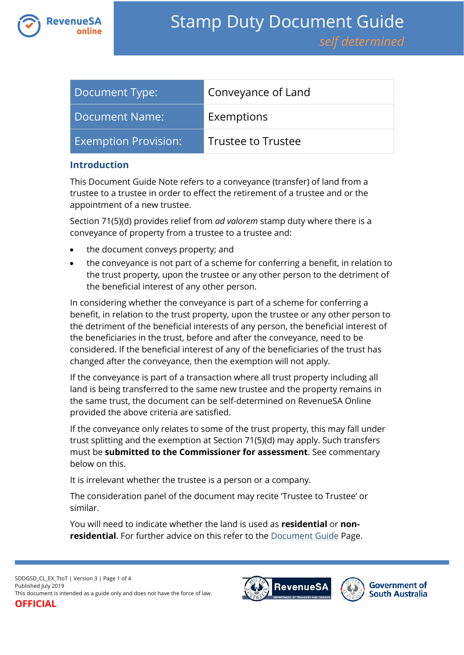

| Document Type:              | Conveyance of Land        |
|-----------------------------|---------------------------|
| Document Name:              | Exemptions                |
| <b>Exemption Provision:</b> | <b>Trustee to Trustee</b> |

## **Introduction**

This Document Guide Note refers to a conveyance (transfer) of land from a trustee to a trustee in order to effect the retirement of a trustee and or the appointment of a new trustee.

Section 71(5)(d) provides relief from *ad valorem* stamp duty where there is a conveyance of property from a trustee to a trustee and:

- the document conveys property; and
- the conveyance is not part of a scheme for conferring a benefit, in relation to the trust property, upon the trustee or any other person to the detriment of the beneficial interest of any other person.

In considering whether the conveyance is part of a scheme for conferring a benefit, in relation to the trust property, upon the trustee or any other person to the detriment of the beneficial interests of any person, the beneficial interest of the beneficiaries in the trust, before and after the conveyance, need to be considered. If the beneficial interest of any of the beneficiaries of the trust has changed after the conveyance, then the exemption will not apply.

If the conveyance is part of a transaction where all trust property including all land is being transferred to the same new trustee and the property remains in the same trust, the document can be self-determined on RevenueSA Online provided the above criteria are satisfied.

If the conveyance only relates to some of the trust property, this may fall under trust splitting and the exemption at Section 71(5)(d) may apply. Such transfers must be **submitted to the Commissioner for assessment**. See commentary below on this.

It is irrelevant whether the trustee is a person or a company.

The consideration panel of the document may recite 'Trustee to Trustee' or similar.

You will need to indicate whether the land is used as **residential** or **nonresidential**. For further advice on this refer to the [Document Guide](https://www.revenuesa.sa.gov.au/stampduty/stamp-duty-document-guide#Glossary) Page.

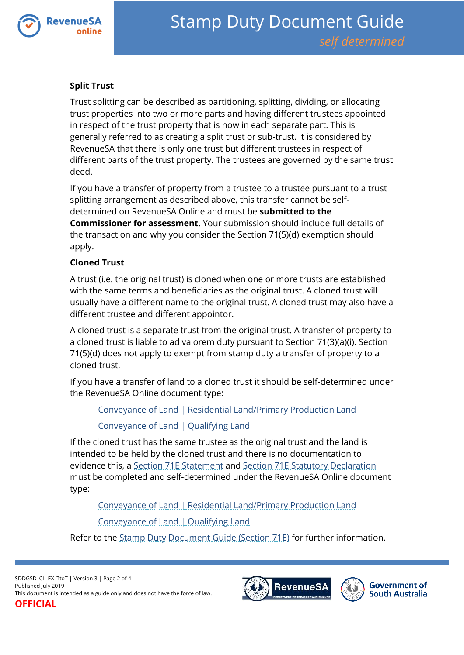

# **Split Trust**

Trust splitting can be described as partitioning, splitting, dividing, or allocating trust properties into two or more parts and having different trustees appointed in respect of the trust property that is now in each separate part. This is generally referred to as creating a split trust or sub-trust. It is considered by RevenueSA that there is only one trust but different trustees in respect of different parts of the trust property. The trustees are governed by the same trust deed.

If you have a transfer of property from a trustee to a trustee pursuant to a trust splitting arrangement as described above, this transfer cannot be selfdetermined on RevenueSA Online and must be **submitted to the Commissioner for assessment**. Your submission should include full details of the transaction and why you consider the Section 71(5)(d) exemption should apply.

## **Cloned Trust**

A trust (i.e. the original trust) is cloned when one or more trusts are established with the same terms and beneficiaries as the original trust. A cloned trust will usually have a different name to the original trust. A cloned trust may also have a different trustee and different appointor.

A cloned trust is a separate trust from the original trust. A transfer of property to a cloned trust is liable to ad valorem duty pursuant to Section 71(3)(a)(i). Section 71(5)(d) does not apply to exempt from stamp duty a transfer of property to a cloned trust.

If you have a transfer of land to a cloned trust it should be self-determined under the RevenueSA Online document type:

[Conveyance of Land | Residential Land/Primary Production Land](https://www.revenuesa.sa.gov.au/stampduty/stamp-duty-document-guide/self-determined/conveyance-of-land/sddgsd_cl_rpp)

[Conveyance of Land | Qualifying Land](https://www.revenuesa.sa.gov.au/stampduty/stamp-duty-document-guide/self-determined/conveyance-of-land/sddgsd_cl_ql)

If the cloned trust has the same trustee as the original trust and the land is intended to be held by the cloned trust and there is no documentation to evidence this, a [Section 71E Statement](https://www.revenuesa.sa.gov.au/forms-and-publications/documents/forms/71estatement.pdf) and [Section 71E Statutory Declaration](https://www.revenuesa.sa.gov.au/forms-and-publications/documents/forms/71estatdec.pdf) must be completed and self-determined under the RevenueSA Online document type:

[Conveyance of Land | Residential Land/Primary](https://www.revenuesa.sa.gov.au/stampduty/stamp-duty-document-guide/self-determined/conveyance-of-land/sddgsd_cl_rpp) Production Land

[Conveyance of Land | Qualifying Land](https://www.revenuesa.sa.gov.au/stampduty/stamp-duty-document-guide/self-determined/conveyance-of-land/sddgsd_cl_ql)

Refer to the [Stamp Duty Document Guide \(Section 71E\)](https://www.revenuesa.sa.gov.au/stampduty/stamp-duty-document-guide/section71e) for further information.

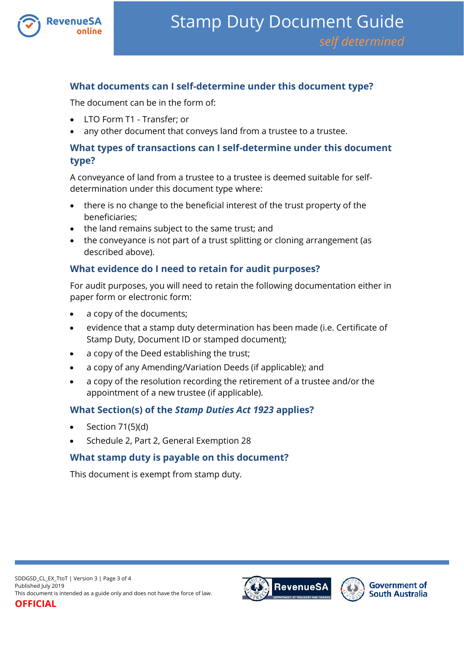

# **What documents can I self-determine under this document type?**

The document can be in the form of:

- LTO Form T1 Transfer; or
- any other document that conveys land from a trustee to a trustee.

# **What types of transactions can I self-determine under this document type?**

A conveyance of land from a trustee to a trustee is deemed suitable for selfdetermination under this document type where:

- there is no change to the beneficial interest of the trust property of the beneficiaries;
- the land remains subject to the same trust; and
- the conveyance is not part of a trust splitting or cloning arrangement (as described above).

## **What evidence do I need to retain for audit purposes?**

For audit purposes, you will need to retain the following documentation either in paper form or electronic form:

- a copy of the documents;
- evidence that a stamp duty determination has been made (i.e. Certificate of Stamp Duty, Document ID or stamped document);
- a copy of the Deed establishing the trust;
- a copy of any Amending/Variation Deeds (if applicable); and
- a copy of the resolution recording the retirement of a trustee and/or the appointment of a new trustee (if applicable).

# **What Section(s) of the** *Stamp Duties Act 1923* **applies?**

- Section 71(5)(d)
- Schedule 2, Part 2, General Exemption 28

#### **What stamp duty is payable on this document?**

This document is exempt from stamp duty.